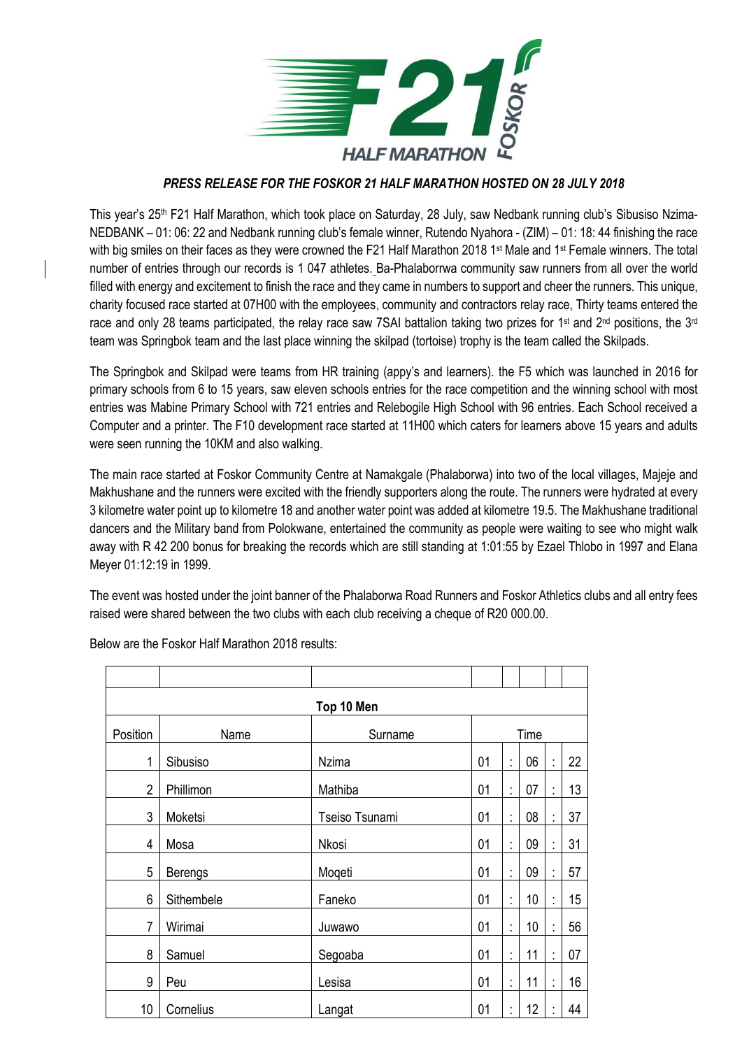

## *PRESS RELEASE FOR THE FOSKOR 21 HALF MARATHON HOSTED ON 28 JULY 2018*

This year's 25<sup>th</sup> F21 Half Marathon, which took place on Saturday, 28 July, saw Nedbank running club's Sibusiso Nzima-NEDBANK – 01: 06: 22 and Nedbank running club's female winner, Rutendo Nyahora - (ZIM) – 01: 18: 44 finishing the race with big smiles on their faces as they were crowned the F21 Half Marathon 2018 1<sup>st</sup> Male and 1<sup>st</sup> Female winners. The total number of entries through our records is 1 047 athletes. Ba-Phalaborrwa community saw runners from all over the world filled with energy and excitement to finish the race and they came in numbers to support and cheer the runners. This unique, charity focused race started at 07H00 with the employees, community and contractors relay race, Thirty teams entered the race and only 28 teams participated, the relay race saw 7SAI battalion taking two prizes for 1<sup>st</sup> and 2<sup>nd</sup> positions, the 3<sup>rd</sup> team was Springbok team and the last place winning the skilpad (tortoise) trophy is the team called the Skilpads.

The Springbok and Skilpad were teams from HR training (appy's and learners). the F5 which was launched in 2016 for primary schools from 6 to 15 years, saw eleven schools entries for the race competition and the winning school with most entries was Mabine Primary School with 721 entries and Relebogile High School with 96 entries. Each School received a Computer and a printer. The F10 development race started at 11H00 which caters for learners above 15 years and adults were seen running the 10KM and also walking.

The main race started at Foskor Community Centre at Namakgale (Phalaborwa) into two of the local villages, Majeje and Makhushane and the runners were excited with the friendly supporters along the route. The runners were hydrated at every 3 kilometre water point up to kilometre 18 and another water point was added at kilometre 19.5. The Makhushane traditional dancers and the Military band from Polokwane, entertained the community as people were waiting to see who might walk away with R 42 200 bonus for breaking the records which are still standing at 1:01:55 by Ezael Thlobo in 1997 and Elana Meyer 01:12:19 in 1999.

The event was hosted under the joint banner of the Phalaborwa Road Runners and Foskor Athletics clubs and all entry fees raised were shared between the two clubs with each club receiving a cheque of R20 000.00.

| Top 10 Men     |            |                |      |                      |    |                      |    |
|----------------|------------|----------------|------|----------------------|----|----------------------|----|
| Position       | Name       | Surname        | Time |                      |    |                      |    |
| 1              | Sibusiso   | <b>Nzima</b>   | 01   | $\vdots$             | 06 | $\ddot{\cdot}$       | 22 |
| $\overline{2}$ | Phillimon  | Mathiba        | 01   | t,                   | 07 | $\ddot{\phantom{a}}$ | 13 |
| 3              | Moketsi    | Tseiso Tsunami | 01   | $\ddot{\cdot}$       | 08 | $\ddot{\cdot}$       | 37 |
| 4              | Mosa       | Nkosi          | 01   | $\ddot{\cdot}$       | 09 | $\vdots$             | 31 |
| 5              | Berengs    | Mogeti         | 01   | ÷,                   | 09 | $\ddot{\phantom{a}}$ | 57 |
| 6              | Sithembele | Faneko         | 01   | ÷                    | 10 | ÷                    | 15 |
| $\overline{7}$ | Wirimai    | Juwawo         | 01   | $\ddot{\cdot}$       | 10 | $\ddot{\cdot}$       | 56 |
| 8              | Samuel     | Segoaba        | 01   | $\ddot{\phantom{a}}$ | 11 | t                    | 07 |
| 9              | Peu        | Lesisa         | 01   | $\bullet$            | 11 | $\ddot{\phantom{a}}$ | 16 |
| 10             | Cornelius  | Langat         | 01   | $\bullet$            | 12 | $\blacksquare$       | 44 |

Below are the Foskor Half Marathon 2018 results: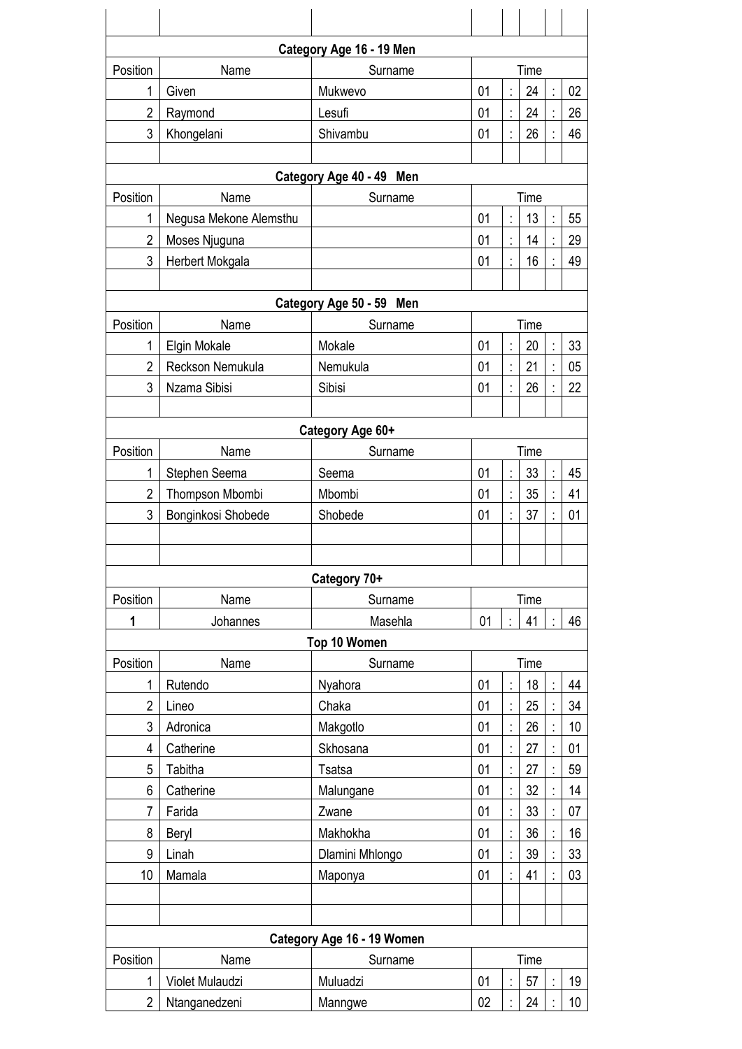|                            |                                         | Category Age 16 - 19 Men  |            |                |            |  |          |  |  |
|----------------------------|-----------------------------------------|---------------------------|------------|----------------|------------|--|----------|--|--|
| Position                   | Name                                    | Surname                   | Time       |                |            |  |          |  |  |
| 1                          | Given                                   | Mukwevo                   | 01         |                | 24         |  | 02       |  |  |
| $\overline{2}$             | Raymond                                 | Lesufi                    | 01         |                | 24         |  | 26       |  |  |
| 3                          | Khongelani                              | Shivambu                  | 01         |                | 26         |  | 46       |  |  |
|                            |                                         |                           |            |                |            |  |          |  |  |
| Category Age 40 - 49 Men   |                                         |                           |            |                |            |  |          |  |  |
| Position<br>1              | Name                                    | Surname                   | Time<br>01 |                |            |  |          |  |  |
| $\overline{2}$             | Negusa Mekone Alemsthu<br>Moses Njuguna |                           | 01         |                | 13<br>14   |  | 55<br>29 |  |  |
| 3                          | Herbert Mokgala                         |                           | 01         |                | 16         |  | 49       |  |  |
|                            |                                         |                           |            |                |            |  |          |  |  |
|                            | Category Age 50 - 59 Men                |                           |            |                |            |  |          |  |  |
| Position                   | Name                                    | Surname                   | Time       |                |            |  |          |  |  |
| 1                          | Elgin Mokale                            | Mokale                    | 01         |                | 20         |  | 33       |  |  |
| $\overline{2}$             | Reckson Nemukula                        | Nemukula                  | 01         |                | 21         |  | 05       |  |  |
| 3                          | Nzama Sibisi                            | Sibisi                    | 01         |                | 26         |  | 22       |  |  |
|                            |                                         |                           |            |                |            |  |          |  |  |
|                            |                                         | Category Age 60+          |            |                |            |  |          |  |  |
| Position                   | Name                                    | Surname                   | 01         |                | Time<br>33 |  |          |  |  |
| 1<br>$\overline{2}$        | Stephen Seema<br>Thompson Mbombi        | Seema<br>Mbombi           | 01         |                | 35         |  | 45<br>41 |  |  |
| 3                          | Bonginkosi Shobede                      | Shobede                   | 01         |                | 37         |  | 01       |  |  |
|                            |                                         |                           |            |                |            |  |          |  |  |
|                            |                                         |                           |            |                |            |  |          |  |  |
|                            |                                         | Category 70+              |            |                |            |  |          |  |  |
| Position                   | Name                                    | Surname                   | Time       |                |            |  |          |  |  |
| 1                          | Johannes                                | Masehla                   | 01         |                | 41         |  | 46       |  |  |
| Top 10 Women               |                                         |                           |            |                |            |  |          |  |  |
| Position                   | Name                                    | Surname                   | Time       |                |            |  |          |  |  |
| 1                          | Rutendo                                 | Nyahora                   | 01         |                | 18         |  | 44       |  |  |
| $\overline{2}$             | Lineo                                   | Chaka                     | 01         |                | 25         |  | 34       |  |  |
| 3<br>4                     | Adronica                                | Makgotlo                  | 01<br>01   |                | 26<br>27   |  | 10<br>01 |  |  |
| 5                          | Catherine<br>Tabitha                    | Skhosana<br><b>Tsatsa</b> | 01         |                | 27         |  | 59       |  |  |
| 6                          | Catherine                               | Malungane                 | 01         | $\ddot{\cdot}$ | 32         |  | 14       |  |  |
| 7                          | Farida                                  | Zwane                     | 01         |                | 33         |  | 07       |  |  |
| 8                          | Beryl                                   | Makhokha                  | 01         |                | 36         |  | 16       |  |  |
| 9                          | Linah                                   | Dlamini Mhlongo           | 01         |                | 39         |  | 33       |  |  |
| 10                         | Mamala                                  | Maponya                   | 01         |                | 41         |  | 03       |  |  |
|                            |                                         |                           |            |                |            |  |          |  |  |
|                            |                                         |                           |            |                |            |  |          |  |  |
| Category Age 16 - 19 Women |                                         |                           |            |                |            |  |          |  |  |
| Position                   | Name                                    | Surname                   | Time       |                |            |  |          |  |  |
| 1                          | Violet Mulaudzi                         | Muluadzi                  | 01         |                | 57         |  | 19       |  |  |
| $\overline{2}$             | Ntanganedzeni                           | Manngwe                   | 02         |                | 24         |  | 10       |  |  |